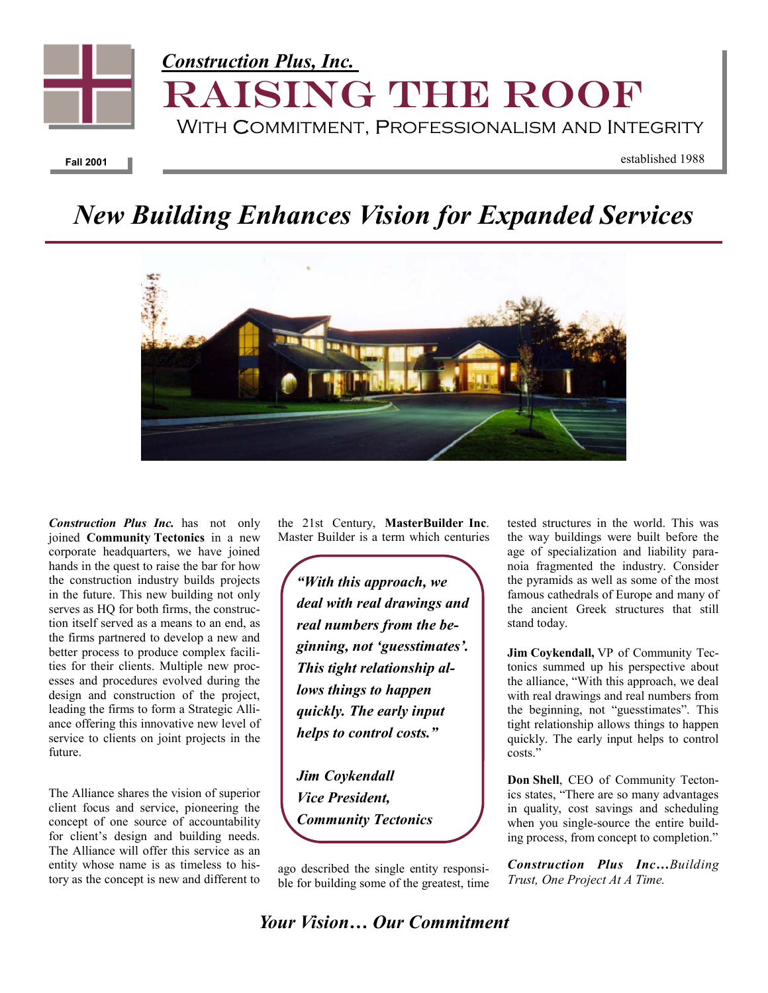

## *New Building Enhances Vision for Expanded Services*



*Construction Plus Inc.* has not only joined **Community Tectonics** in a new corporate headquarters, we have joined hands in the quest to raise the bar for how the construction industry builds projects in the future. This new building not only serves as HQ for both firms, the construction itself served as a means to an end, as the firms partnered to develop a new and better process to produce complex facilities for their clients. Multiple new processes and procedures evolved during the design and construction of the project, leading the firms to form a Strategic Alliance offering this innovative new level of service to clients on joint projects in the future.

The Alliance shares the vision of superior client focus and service, pioneering the concept of one source of accountability for client's design and building needs. The Alliance will offer this service as an entity whose name is as timeless to history as the concept is new and different to

the 21st Century, **MasterBuilder Inc**. Master Builder is a term which centuries

*"With this approach, we deal with real drawings and real numbers from the beginning, not 'guesstimates'. This tight relationship allows things to happen quickly. The early input helps to control costs."* 

*Jim Coykendall Vice President, Community Tectonics* 

ago described the single entity responsible for building some of the greatest, time tested structures in the world. This was the way buildings were built before the age of specialization and liability paranoia fragmented the industry. Consider the pyramids as well as some of the most famous cathedrals of Europe and many of the ancient Greek structures that still stand today.

**Jim Coykendall,** VP of Community Tectonics summed up his perspective about the alliance, "With this approach, we deal with real drawings and real numbers from the beginning, not "guesstimates". This tight relationship allows things to happen quickly. The early input helps to control costs."

**Don Shell**, CEO of Community Tectonics states, "There are so many advantages in quality, cost savings and scheduling when you single-source the entire building process, from concept to completion."

*Construction Plus Inc…Building Trust, One Project At A Time.* 

*Your Vision… Our Commitment*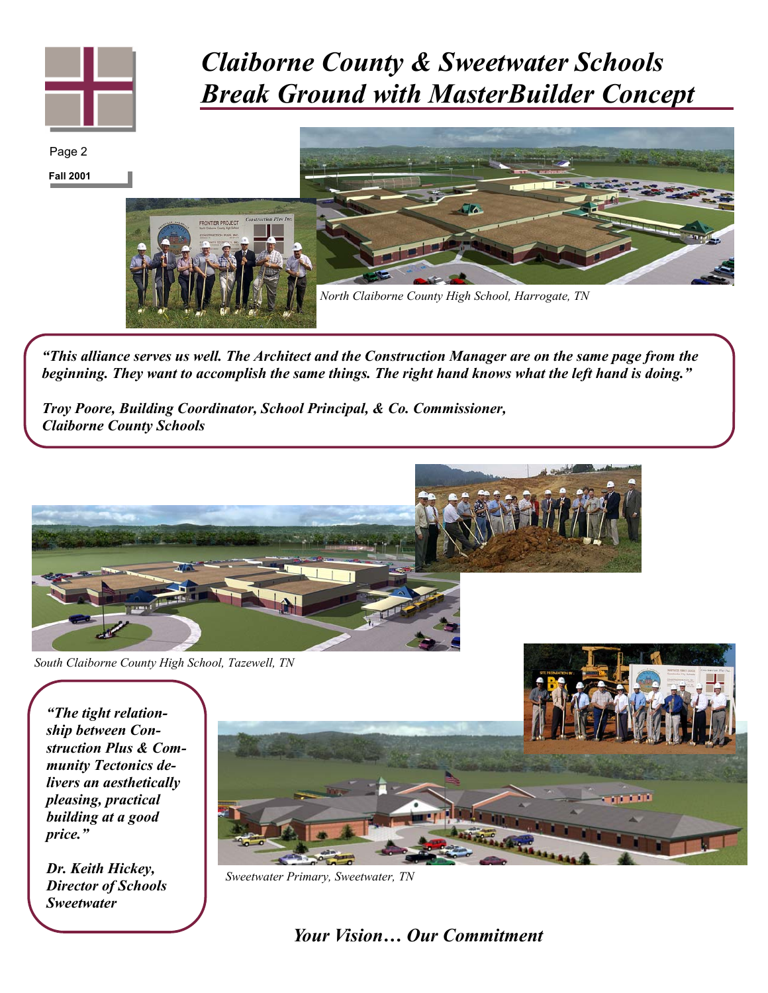

## *Claiborne County & Sweetwater Schools Break Ground with MasterBuilder Concept*

**Fall 2001**  Page 2 *North Claiborne County High School, Harrogate, TN* 

*"This alliance serves us well. The Architect and the Construction Manager are on the same page from the beginning. They want to accomplish the same things. The right hand knows what the left hand is doing."* 

*Troy Poore, Building Coordinator, School Principal, & Co. Commissioner, Claiborne County Schools* 



*South Claiborne County High School, Tazewell, TN* 

*"The tight relationship between Construction Plus & Community Tectonics delivers an aesthetically pleasing, practical building at a good price."* 

*Dr. Keith Hickey, Director of Schools Sweetwater* 



*Sweetwater Primary, Sweetwater, TN* 

*Your Vision… Our Commitment*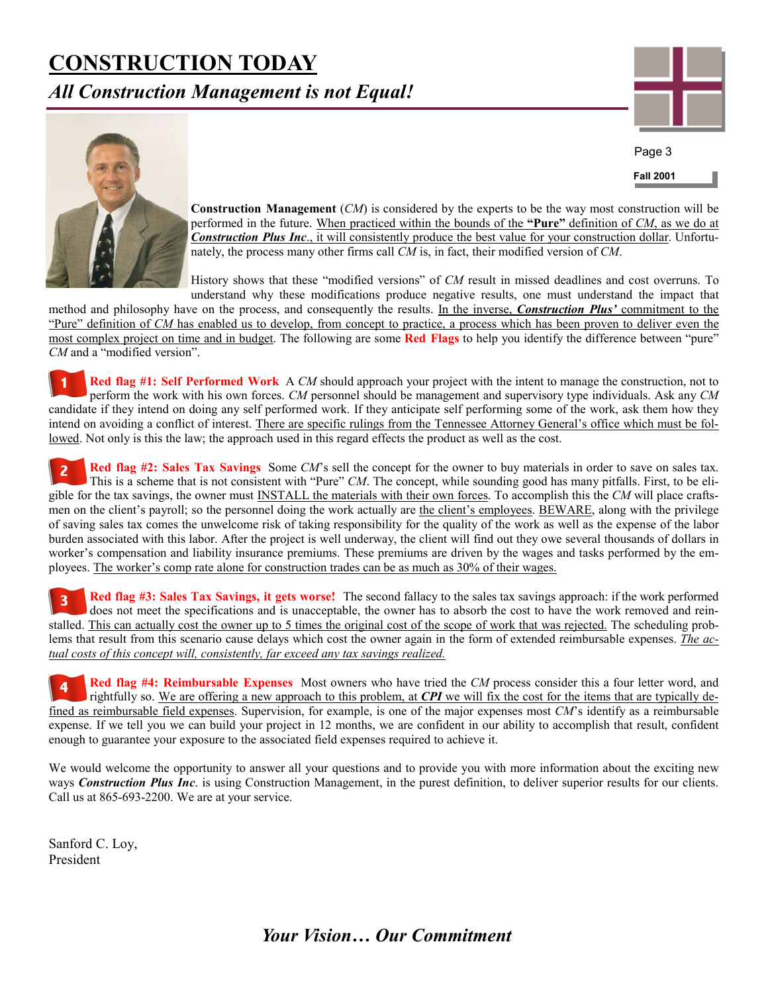## **CONSTRUCTION TODAY**

*All Construction Management is not Equal!* 



**Fall 2001**  Page 3



**Construction Management** (*CM*) is considered by the experts to be the way most construction will be performed in the future. When practiced within the bounds of the **"Pure"** definition of *CM*, as we do at *Construction Plus Inc*., it will consistently produce the best value for your construction dollar. Unfortunately, the process many other firms call *CM* is, in fact, their modified version of *CM*.

History shows that these "modified versions" of *CM* result in missed deadlines and cost overruns. To understand why these modifications produce negative results, one must understand the impact that

method and philosophy have on the process, and consequently the results. In the inverse, *Construction Plus'* commitment to the "Pure" definition of *CM* has enabled us to develop, from concept to practice, a process which has been proven to deliver even the most complex project on time and in budget. The following are some **Red Flags** to help you identify the difference between "pure" *CM* and a "modified version".

**Red flag #1: Self Performed Work** A *CM* should approach your project with the intent to manage the construction, not to perform the work with his own forces. *CM* personnel should be management and supervisory type individuals. Ask any *CM* candidate if they intend on doing any self performed work. If they anticipate self performing some of the work, ask them how they intend on avoiding a conflict of interest. There are specific rulings from the Tennessee Attorney General's office which must be followed. Not only is this the law; the approach used in this regard effects the product as well as the cost.

**Red flag #2: Sales Tax Savings** Some *CM*'s sell the concept for the owner to buy materials in order to save on sales tax.  $\overline{2}$ This is a scheme that is not consistent with "Pure" *CM*. The concept, while sounding good has many pitfalls. First, to be eligible for the tax savings, the owner must INSTALL the materials with their own forces. To accomplish this the *CM* will place craftsmen on the client's payroll; so the personnel doing the work actually are the client's employees. BEWARE, along with the privilege of saving sales tax comes the unwelcome risk of taking responsibility for the quality of the work as well as the expense of the labor burden associated with this labor. After the project is well underway, the client will find out they owe several thousands of dollars in worker's compensation and liability insurance premiums. These premiums are driven by the wages and tasks performed by the employees. The worker's comp rate alone for construction trades can be as much as 30% of their wages.

**Red flag #3: Sales Tax Savings, it gets worse!** The second fallacy to the sales tax savings approach: if the work performed  $\overline{\mathbf{3}}$ does not meet the specifications and is unacceptable, the owner has to absorb the cost to have the work removed and reinstalled. This can actually cost the owner up to 5 times the original cost of the scope of work that was rejected. The scheduling problems that result from this scenario cause delays which cost the owner again in the form of extended reimbursable expenses. *The actual costs of this concept will, consistently, far exceed any tax savings realized.*

**Red flag #4: Reimbursable Expenses** Most owners who have tried the *CM* process consider this a four letter word, and rightfully so. We are offering a new approach to this problem, at *CPI* we will fix the cost for the items that are typically defined as reimbursable field expenses. Supervision, for example, is one of the major expenses most *CM*'s identify as a reimbursable expense. If we tell you we can build your project in 12 months, we are confident in our ability to accomplish that result, confident enough to guarantee your exposure to the associated field expenses required to achieve it.

We would welcome the opportunity to answer all your questions and to provide you with more information about the exciting new ways *Construction Plus Inc*. is using Construction Management, in the purest definition, to deliver superior results for our clients. Call us at 865-693-2200. We are at your service.

Sanford C. Loy, President

*Your Vision… Our Commitment*